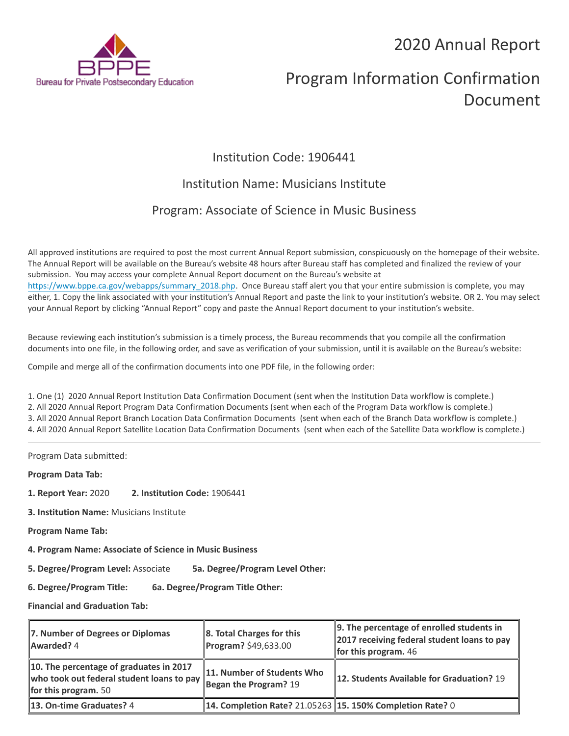## 2020 Annual Report



# Program Information Confirmation Document

## Institution Code: 1906441

### Institution Name: Musicians Institute

## Program: Associate of Science in Music Business

All approved institutions are required to post the most current Annual Report submission, conspicuously on the homepage of their website. The Annual Report will be available on the Bureau's website 48 hours after Bureau staff has completed and finalized the review of your submission. You may access your complete Annual Report document on the Bureau's website at [https://www.bppe.ca.gov/webapps/summary\\_2018.php.](https://www.bppe.ca.gov/webapps/summary_2018.php) Once Bureau staff alert you that your entire submission is complete, you may either, 1. Copy the link associated with your institution's Annual Report and paste the link to your institution's website. OR 2. You may select your Annual Report by clicking "Annual Report" copy and paste the Annual Report document to your institution's website.

Because reviewing each institution's submission is a timely process, the Bureau recommends that you compile all the confirmation documents into one file, in the following order, and save as verification of your submission, until it is available on the Bureau's website:

Compile and merge all of the confirmation documents into one PDF file, in the following order:

1. One (1) 2020 Annual Report Institution Data Confirmation Document (sent when the Institution Data workflow is complete.) 2. All 2020 Annual Report Program Data Confirmation Documents (sent when each of the Program Data workflow is complete.) 3. All 2020 Annual Report Branch Location Data Confirmation Documents (sent when each of the Branch Data workflow is complete.) 4. All 2020 Annual Report Satellite Location Data Confirmation Documents (sent when each of the Satellite Data workflow is complete.)

Program Data submitted:

**Program Data Tab:**

- **1. Report Year:** 2020 **2. Institution Code:** 1906441
- **3. Institution Name:** Musicians Institute
- **Program Name Tab:**
- **4. Program Name: Associate of Science in Music Business**

**5. Degree/Program Level:** Associate **5a. Degree/Program Level Other:**

**6. Degree/Program Title: 6a. Degree/Program Title Other:**

**Financial and Graduation Tab:**

| 7. Number of Degrees or Diplomas<br>Awarded? 4                                                                      | $\ $ 8. Total Charges for this<br>Program? \$49,633.00         | $\parallel$ 9. The percentage of enrolled students in<br>2017 receiving federal student loans to pay<br>for this program. $46$ |
|---------------------------------------------------------------------------------------------------------------------|----------------------------------------------------------------|--------------------------------------------------------------------------------------------------------------------------------|
| 10. The percentage of graduates in 2017<br>who took out federal student loans to pay<br><b>for this program.</b> 50 | 11. Number of Students Who<br>$\sqrt{2}$ Began the Program? 19 | <b>12. Students Available for Graduation? 19</b>                                                                               |
| 13. On-time Graduates? 4                                                                                            | 14. Completion Rate? 21.05263   15. 150% Completion Rate? 0    |                                                                                                                                |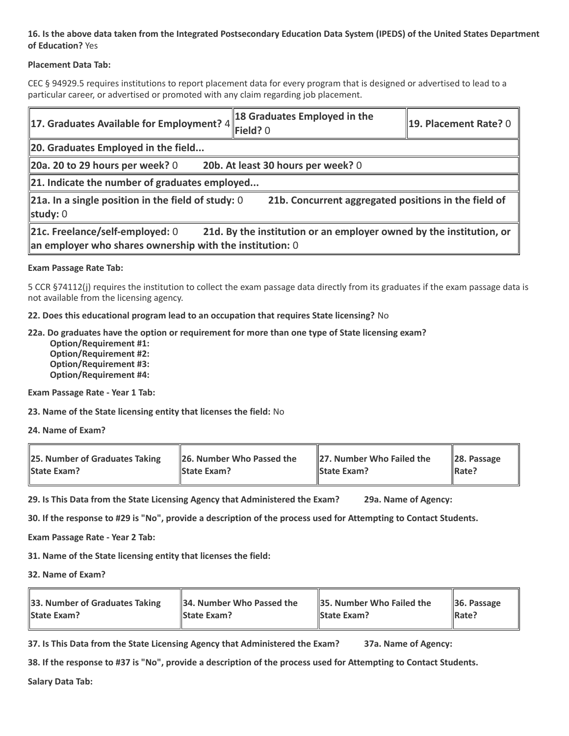#### **16. Is the above data taken from the Integrated Postsecondary Education Data System (IPEDS) of the United States Department of Education?** Yes

#### **Placement Data Tab:**

CEC § 94929.5 requires institutions to report placement data for every program that is designed or advertised to lead to a particular career, or advertised or promoted with any claim regarding job placement.

| 17. Graduates Available for Employment? $4$                                                                                                                             | 18 Graduates Employed in the<br>Field? 0 | 19. Placement Rate? 0 |  |  |
|-------------------------------------------------------------------------------------------------------------------------------------------------------------------------|------------------------------------------|-----------------------|--|--|
| 20. Graduates Employed in the field                                                                                                                                     |                                          |                       |  |  |
| 20a. 20 to 29 hours per week? $0$<br>20b. At least 30 hours per week? 0                                                                                                 |                                          |                       |  |  |
| $\ $ 21. Indicate the number of graduates employed                                                                                                                      |                                          |                       |  |  |
| 21a. In a single position in the field of study: $0$<br>21b. Concurrent aggregated positions in the field of<br>study: $0$                                              |                                          |                       |  |  |
| 21c. Freelance/self-employed: 0<br>21d. By the institution or an employer owned by the institution, or<br>$\ $ an employer who shares ownership with the institution: 0 |                                          |                       |  |  |

#### **Exam Passage Rate Tab:**

5 CCR §74112(j) requires the institution to collect the exam passage data directly from its graduates if the exam passage data is not available from the licensing agency.

**22. Does this educational program lead to an occupation that requires State licensing?** No

#### **22a. Do graduates have the option or requirement for more than one type of State licensing exam?**

 **Option/Requirement #1: Option/Requirement #2: Option/Requirement #3: Option/Requirement #4:**

**Exam Passage Rate - Year 1 Tab:**

**23. Name of the State licensing entity that licenses the field:** No

**24. Name of Exam?**

| 25. Number of Graduates Taking | 26. Number Who Passed the | 27. Number Who Failed the | $\ 28.$ Passage |
|--------------------------------|---------------------------|---------------------------|-----------------|
| <b>State Exam?</b>             | <b>State Exam?</b>        | <b>State Exam?</b>        | Rate?           |

**29. Is This Data from the State Licensing Agency that Administered the Exam? 29a. Name of Agency:**

**30. If the response to #29 is "No", provide a description of the process used for Attempting to Contact Students.**

**Exam Passage Rate - Year 2 Tab:**

**31. Name of the State licensing entity that licenses the field:**

**32. Name of Exam?**

| 33. Number of Graduates Taking | 34. Number Who Passed the | <b>35. Number Who Failed the</b> | $\parallel$ 36. Passage |
|--------------------------------|---------------------------|----------------------------------|-------------------------|
| <b>State Exam?</b>             | <b>State Exam?</b>        | <b>State Exam?</b>               | $\parallel$ Rate?       |

**37. Is This Data from the State Licensing Agency that Administered the Exam? 37a. Name of Agency:**

**38. If the response to #37 is "No", provide a description of the process used for Attempting to Contact Students.** 

**Salary Data Tab:**